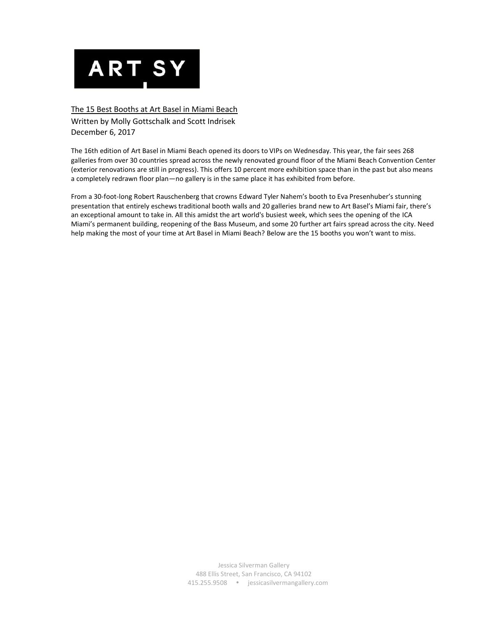

## The 15 Best Booths at Art Basel in Miami Beach

Written by Molly Gottschalk and Scott Indrisek December 6, 2017

The 16th edition of [Art Basel in Miami Beach](https://www.artsy.net/art-basel-in-miami-beach-2017) opened its doors to VIPs on Wednesday. This year, the fair sees 268 galleries from over 30 countries spread across the newly renovated ground floor of the Miami Beach Convention Center (exterior renovations are still in progress). This offers 10 percent more exhibition space than in the past but also means a completely redrawn floor plan—no gallery is in the same place it has exhibited from before.

From a 30-foot-long [Robert Rauschenberg](https://www.artsy.net/artist/robert-rauschenberg) that crowns [Edward Tyler Nahem](https://www.artsy.net/edward-tyler-nahem-fine-art-llc)'s booth to [Eva Presenhuber](https://www.artsy.net/galerie-eva-presenhuber)'s stunning presentation that entirely eschews traditional booth walls and 20 galleries [brand new to Art Basel's Miami fair,](https://www.artsy.net/article/artsy-editorial-18-new-dealers-watch-art-basel-miami-beach) there's an exceptional amount to take in. All this amidst the art world's busiest week, which sees the opening of the [ICA](https://www.artsy.net/icamiami)  [Miami](https://www.artsy.net/icamiami)'s permanent building, reopening of the [Bass Museum,](https://www.artsy.net/the-bass) and some 20 further art fairs spread across the city. Need help making the most of your time at Art Basel in Miami Beach? Below are the 15 booths you won't want to miss.